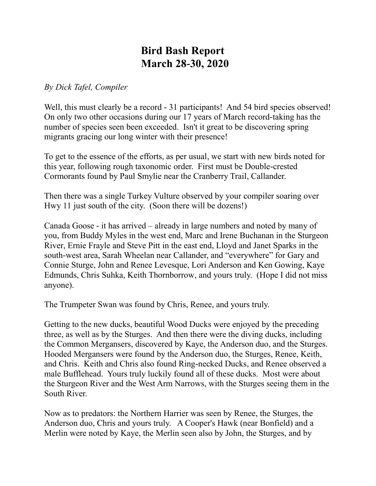## **Bird Bash Report March 28-30, 2020**

## *By Dick Tafel, Compiler*

Well, this must clearly be a record - 31 participants! And 54 bird species observed! On only two other occasions during our 17 years of March record-taking has the number of species seen been exceeded. Isn't it great to be discovering spring migrants gracing our long winter with their presence!

To get to the essence of the efforts, as per usual, we start with new birds noted for this year, following rough taxonomic order. First must be Double-crested Cormorants found by Paul Smylie near the Cranberry Trail, Callander.

Then there was a single Turkey Vulture observed by your compiler soaring over Hwy 11 just south of the city. (Soon there will be dozens!)

Canada Goose - it has arrived – already in large numbers and noted by many of you, from Buddy Myles in the west end, Marc and Irene Buchanan in the Sturgeon River, Ernie Frayle and Steve Pitt in the east end, Lloyd and Janet Sparks in the south-west area, Sarah Wheelan near Callander, and "everywhere" for Gary and Connie Sturge, John and Renee Levesque, Lori Anderson and Ken Gowing, Kaye Edmunds, Chris Suhka, Keith Thornborrow, and yours truly. (Hope I did not miss anyone).

The Trumpeter Swan was found by Chris, Renee, and yours truly.

Getting to the new ducks, beautiful Wood Ducks were enjoyed by the preceding three, as well as by the Sturges. And then there were the diving ducks, including the Common Mergansers, discovered by Kaye, the Anderson duo, and the Sturges. Hooded Mergansers were found by the Anderson duo, the Sturges, Renee, Keith, and Chris. Keith and Chris also found Ring-necked Ducks, and Renee observed a male Bufflehead. Yours truly luckily found all of these ducks. Most were about the Sturgeon River and the West Arm Narrows, with the Sturges seeing them in the South River.

Now as to predators: the Northern Harrier was seen by Renee, the Sturges, the Anderson duo, Chris and yours truly. A Cooper's Hawk (near Bonfield) and a Merlin were noted by Kaye, the Merlin seen also by John, the Sturges, and by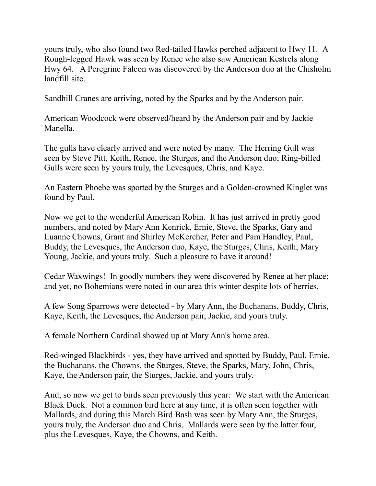yours truly, who also found two Red-tailed Hawks perched adjacent to Hwy 11. A Rough-legged Hawk was seen by Renee who also saw American Kestrels along Hwy 64. A Peregrine Falcon was discovered by the Anderson duo at the Chisholm landfill site.

Sandhill Cranes are arriving, noted by the Sparks and by the Anderson pair.

American Woodcock were observed/heard by the Anderson pair and by Jackie Manella.

The gulls have clearly arrived and were noted by many. The Herring Gull was seen by Steve Pitt, Keith, Renee, the Sturges, and the Anderson duo; Ring-billed Gulls were seen by yours truly, the Levesques, Chris, and Kaye.

An Eastern Phoebe was spotted by the Sturges and a Golden-crowned Kinglet was found by Paul.

Now we get to the wonderful American Robin. It has just arrived in pretty good numbers, and noted by Mary Ann Kenrick, Ernie, Steve, the Sparks, Gary and Luanne Chowns, Grant and Shirley McKercher, Peter and Pam Handley, Paul, Buddy, the Levesques, the Anderson duo, Kaye, the Sturges, Chris, Keith, Mary Young, Jackie, and yours truly. Such a pleasure to have it around!

Cedar Waxwings! In goodly numbers they were discovered by Renee at her place; and yet, no Bohemians were noted in our area this winter despite lots of berries.

A few Song Sparrows were detected - by Mary Ann, the Buchanans, Buddy, Chris, Kaye, Keith, the Levesques, the Anderson pair, Jackie, and yours truly.

A female Northern Cardinal showed up at Mary Ann's home area.

Red-winged Blackbirds - yes, they have arrived and spotted by Buddy, Paul, Ernie, the Buchanans, the Chowns, the Sturges, Steve, the Sparks, Mary, John, Chris, Kaye, the Anderson pair, the Sturges, Jackie, and yours truly.

And, so now we get to birds seen previously this year: We start with the American Black Duck. Not a common bird here at any time, it is often seen together with Mallards, and during this March Bird Bash was seen by Mary Ann, the Sturges, yours truly, the Anderson duo and Chris. Mallards were seen by the latter four, plus the Levesques, Kaye, the Chowns, and Keith.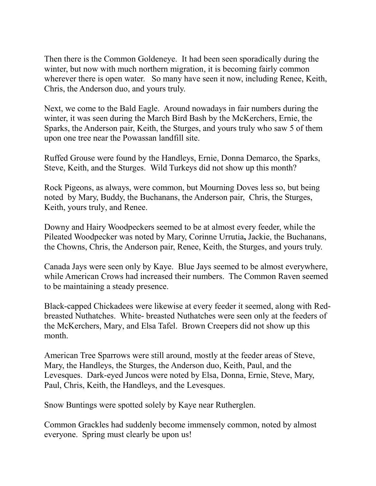Then there is the Common Goldeneye. It had been seen sporadically during the winter, but now with much northern migration, it is becoming fairly common wherever there is open water. So many have seen it now, including Renee, Keith, Chris, the Anderson duo, and yours truly.

Next, we come to the Bald Eagle. Around nowadays in fair numbers during the winter, it was seen during the March Bird Bash by the McKerchers, Ernie, the Sparks, the Anderson pair, Keith, the Sturges, and yours truly who saw 5 of them upon one tree near the Powassan landfill site.

Ruffed Grouse were found by the Handleys, Ernie, Donna Demarco, the Sparks, Steve, Keith, and the Sturges. Wild Turkeys did not show up this month?

Rock Pigeons, as always, were common, but Mourning Doves less so, but being noted by Mary, Buddy, the Buchanans, the Anderson pair, Chris, the Sturges, Keith, yours truly, and Renee.

Downy and Hairy Woodpeckers seemed to be at almost every feeder, while the Pileated Woodpecker was noted by Mary, Corinne Urrutia**,** Jackie, the Buchanans, the Chowns, Chris, the Anderson pair, Renee, Keith, the Sturges, and yours truly.

Canada Jays were seen only by Kaye. Blue Jays seemed to be almost everywhere, while American Crows had increased their numbers. The Common Raven seemed to be maintaining a steady presence.

Black-capped Chickadees were likewise at every feeder it seemed, along with Redbreasted Nuthatches. White- breasted Nuthatches were seen only at the feeders of the McKerchers, Mary, and Elsa Tafel. Brown Creepers did not show up this month.

American Tree Sparrows were still around, mostly at the feeder areas of Steve, Mary, the Handleys, the Sturges, the Anderson duo, Keith, Paul, and the Levesques. Dark-eyed Juncos were noted by Elsa, Donna, Ernie, Steve, Mary, Paul, Chris, Keith, the Handleys, and the Levesques.

Snow Buntings were spotted solely by Kaye near Rutherglen.

Common Grackles had suddenly become immensely common, noted by almost everyone. Spring must clearly be upon us!